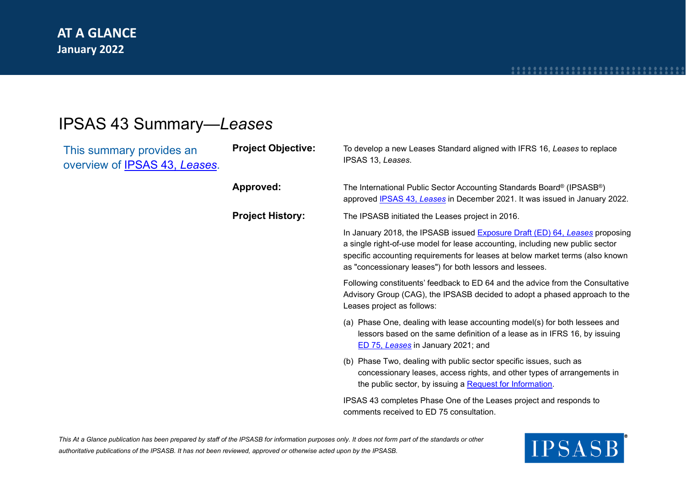# IPSAS 43 Summary—*Leases*

| This summary provides an<br>overview of IPSAS 43, Leases. | <b>Project Objective:</b> | To develop a new Leases Standard aligned with IFRS 16, Leases to replace<br>IPSAS 13, Leases.                                                                                                                                                                                                             |
|-----------------------------------------------------------|---------------------------|-----------------------------------------------------------------------------------------------------------------------------------------------------------------------------------------------------------------------------------------------------------------------------------------------------------|
|                                                           | Approved:                 | The International Public Sector Accounting Standards Board® (IPSASB®)<br>approved IPSAS 43, Leases in December 2021. It was issued in January 2022.                                                                                                                                                       |
|                                                           | <b>Project History:</b>   | The IPSASB initiated the Leases project in 2016.                                                                                                                                                                                                                                                          |
|                                                           |                           | In January 2018, the IPSASB issued Exposure Draft (ED) 64, Leases proposing<br>a single right-of-use model for lease accounting, including new public sector<br>specific accounting requirements for leases at below market terms (also known<br>as "concessionary leases") for both lessors and lessees. |
|                                                           |                           | Following constituents' feedback to ED 64 and the advice from the Consultative<br>Advisory Group (CAG), the IPSASB decided to adopt a phased approach to the<br>Leases project as follows:                                                                                                                |
|                                                           |                           | (a) Phase One, dealing with lease accounting model(s) for both lessees and<br>lessors based on the same definition of a lease as in IFRS 16, by issuing<br>ED 75, Leases in January 2021; and                                                                                                             |
|                                                           |                           | (b) Phase Two, dealing with public sector specific issues, such as<br>concessionary leases, access rights, and other types of arrangements in<br>the public sector, by issuing a Request for Information.                                                                                                 |
|                                                           |                           | IPSAS 43 completes Phase One of the Leases project and responds to<br>comments received to ED 75 consultation.                                                                                                                                                                                            |

*This At a Glance publication has been prepared by staff of the IPSASB for information purposes only. It does not form part of the standards or other authoritative publications of the IPSASB. It has not been reviewed, approved or otherwise acted upon by the IPSASB.*

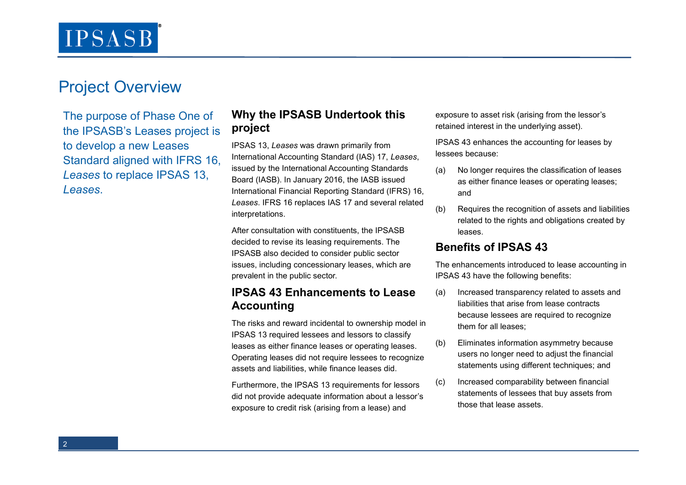# Project Overview

The purpose of Phase One of the IPSASB's Leases project is to develop a new Leases Standard aligned with IFRS 16, *Leases* to replace IPSAS 13, *Leases*.

### **Why the IPSASB Undertook this project**

IPSAS 13, *Leases* was drawn primarily from International Accounting Standard (IAS) 17, *Leases*, issued by the International Accounting Standards Board (IASB). In January 2016, the IASB issued International Financial Reporting Standard (IFRS) 16, *Leases*. IFRS 16 replaces IAS 17 and several related interpretations.

After consultation with constituents, the IPSASB decided to revise its leasing requirements. The IPSASB also decided to consider public sector issues, including concessionary leases, which are prevalent in the public sector.

### **IPSAS 43 Enhancements to Lease Accounting**

The risks and reward incidental to ownership model in IPSAS 13 required lessees and lessors to classify leases as either finance leases or operating leases. Operating leases did not require lessees to recognize assets and liabilities, while finance leases did.

Furthermore, the IPSAS 13 requirements for lessors did not provide adequate information about a lessor's exposure to credit risk (arising from a lease) and

exposure to asset risk (arising from the lessor's retained interest in the underlying asset).

IPSAS 43 enhances the accounting for leases by lessees because:

- (a) No longer requires the classification of leases as either finance leases or operating leases; and
- (b) Requires the recognition of assets and liabilities related to the rights and obligations created by leases.

#### **Benefits of IPSAS 43**

The enhancements introduced to lease accounting in IPSAS 43 have the following benefits:

- (a) Increased transparency related to assets and liabilities that arise from lease contracts because lessees are required to recognize them for all leases;
- (b) Eliminates information asymmetry because users no longer need to adjust the financial statements using different techniques; and
- (c) Increased comparability between financial statements of lessees that buy assets from those that lease assets.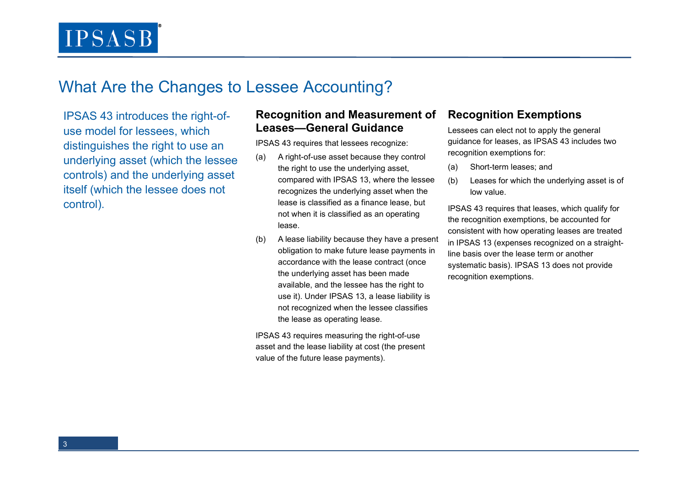**IPSASB** 

# What Are the Changes to Lessee Accounting?

IPSAS 43 introduces the right-ofuse model for lessees, which distinguishes the right to use an underlying asset (which the lessee controls) and the underlying asset itself (which the lessee does not control).

#### **Recognition and Measurement of Leases—General Guidance**

IPSAS 43 requires that lessees recognize:

- (a) A right-of-use asset because they control the right to use the underlying asset, compared with IPSAS 13, where the lessee recognizes the underlying asset when the lease is classified as a finance lease, but not when it is classified as an operating lease.
- (b) A lease liability because they have a present obligation to make future lease payments in accordance with the lease contract (once the underlying asset has been made available, and the lessee has the right to use it). Under IPSAS 13, a lease liability is not recognized when the lessee classifies the lease as operating lease.

IPSAS 43 requires measuring the right-of-use asset and the lease liability at cost (the present value of the future lease payments).

### **Recognition Exemptions**

Lessees can elect not to apply the general guidance for leases, as IPSAS 43 includes two recognition exemptions for:

- (a) Short-term leases; and
- (b) Leases for which the underlying asset is of low value.

IPSAS 43 requires that leases, which qualify for the recognition exemptions, be accounted for consistent with how operating leases are treated in IPSAS 13 (expenses recognized on a straightline basis over the lease term or another systematic basis). IPSAS 13 does not provide recognition exemptions.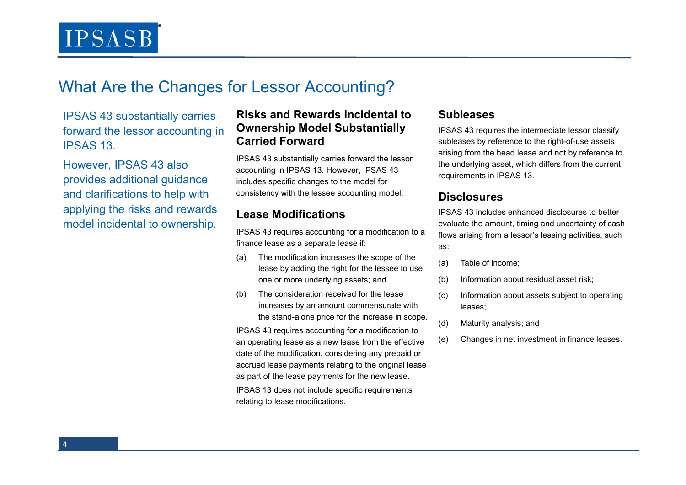**IPSASB** 

# What Are the Changes for Lessor Accounting?

IPSAS 43 substantially carries forward the lessor accounting in IPSAS 13.

However, IPSAS 43 also provides additional guidance and clarifications to help with applying the risks and rewards model incidental to ownership.

### **Risks and Rewards Incidental to Ownership Model Substantially Carried Forward**

IPSAS 43 substantially carries forward the lessor accounting in IPSAS 13. However, IPSAS 43 includes specific changes to the model for consistency with the lessee accounting model.

### **Lease Modifications**

IPSAS 43 requires accounting for a modification to a finance lease as a separate lease if:

- (a) The modification increases the scope of the lease by adding the right for the lessee to use one or more underlying assets; and
- (b) The consideration received for the lease increases by an amount commensurate with the stand-alone price for the increase in scope.

IPSAS 43 requires accounting for a modification to an operating lease as a new lease from the effective date of the modification, considering any prepaid or accrued lease payments relating to the original lease as part of the lease payments for the new lease.

IPSAS 13 does not include specific requirements relating to lease modifications.

#### **Subleases**

IPSAS 43 requires the intermediate lessor classify subleases by reference to the right-of-use assets arising from the head lease and not by reference to the underlying asset, which differs from the current requirements in IPSAS 13.

#### **Disclosures**

IPSAS 43 includes enhanced disclosures to better evaluate the amount, timing and uncertainty of cash flows arising from a lessor's leasing activities, such as:

- (a) Table of income;
- (b) Information about residual asset risk;
- (c) Information about assets subject to operating leases;
- (d) Maturity analysis; and
- (e) Changes in net investment in finance leases.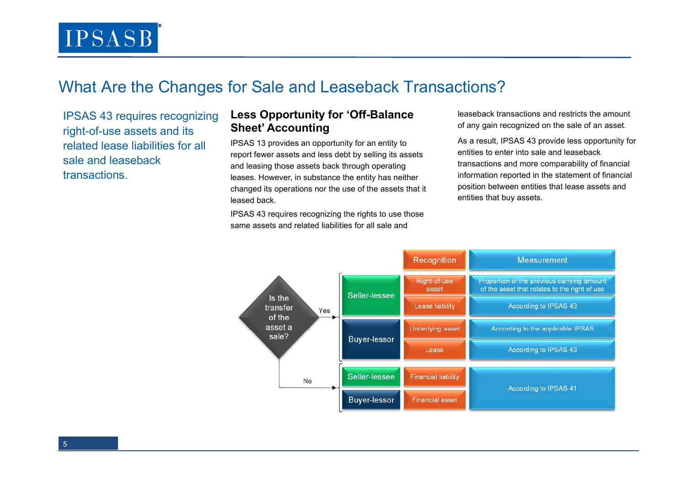# What Are the Changes for Sale and Leaseback Transactions?

IPSAS 43 requires recognizing right-of-use assets and its related lease liabilities for all sale and leaseback **transactions** 

## **Less Opportunity for 'Off-Balance Sheet' Accounting**

IPSAS 13 provides an opportunity for an entity to report fewer assets and less debt by selling its assets and leasing those assets back through operating leases. However, in substance the entity has neither changed its operations nor the use of the assets that it leased back.

IPSAS 43 requires recognizing the rights to use those same assets and related liabilities for all sale and

leaseback transactions and restricts the amount of any gain recognized on the sale of an asset.

As a result, IPSAS 43 provide less opportunity for entities to enter into sale and leaseback transactions and more comparability of financial information reported in the statement of financial position between entities that lease assets and entities that buy assets.

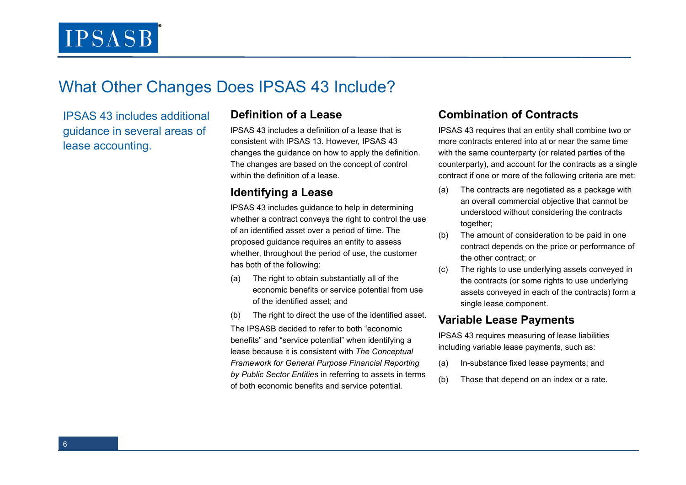# What Other Changes Does IPSAS 43 Include?

IPSAS 43 includes additional guidance in several areas of lease accounting.

### **Definition of a Lease**

IPSAS 43 includes a definition of a lease that is consistent with IPSAS 13. However, IPSAS 43 changes the guidance on how to apply the definition. The changes are based on the concept of control within the definition of a lease.

### **Identifying a Lease**

IPSAS 43 includes guidance to help in determining whether a contract conveys the right to control the use of an identified asset over a period of time. The proposed guidance requires an entity to assess whether, throughout the period of use, the customerhas both of the following:

- (a) The right to obtain substantially all of the economic benefits or service potential from use of the identified asset; and
- (b) The right to direct the use of the identified asset. The IPSASB decided to refer to both "economic benefits" and "service potential" when identifying a lease because it is consistent with *The Conceptual Framework for General Purpose Financial Reporting by Public Sector Entities* in referring to assets in terms of both economic benefits and service potential.

## **Combination of Contracts**

IPSAS 43 requires that an entity shall combine two or more contracts entered into at or near the same time with the same counterparty (or related parties of the counterparty), and account for the contracts as a single contract if one or more of the following criteria are met:

- (a) The contracts are negotiated as a package with an overall commercial objective that cannot be understood without considering the contracts together;
- (b) The amount of consideration to be paid in one contract depends on the price or performance of the other contract; or
- (c) The rights to use underlying assets conveyed in the contracts (or some rights to use underlying assets conveyed in each of the contracts) form a single lease component.

### **Variable Lease Payments**

IPSAS 43 requires measuring of lease liabilities including variable lease payments, such as:

- (a) In-substance fixed lease payments; and
- (b) Those that depend on an index or a rate.